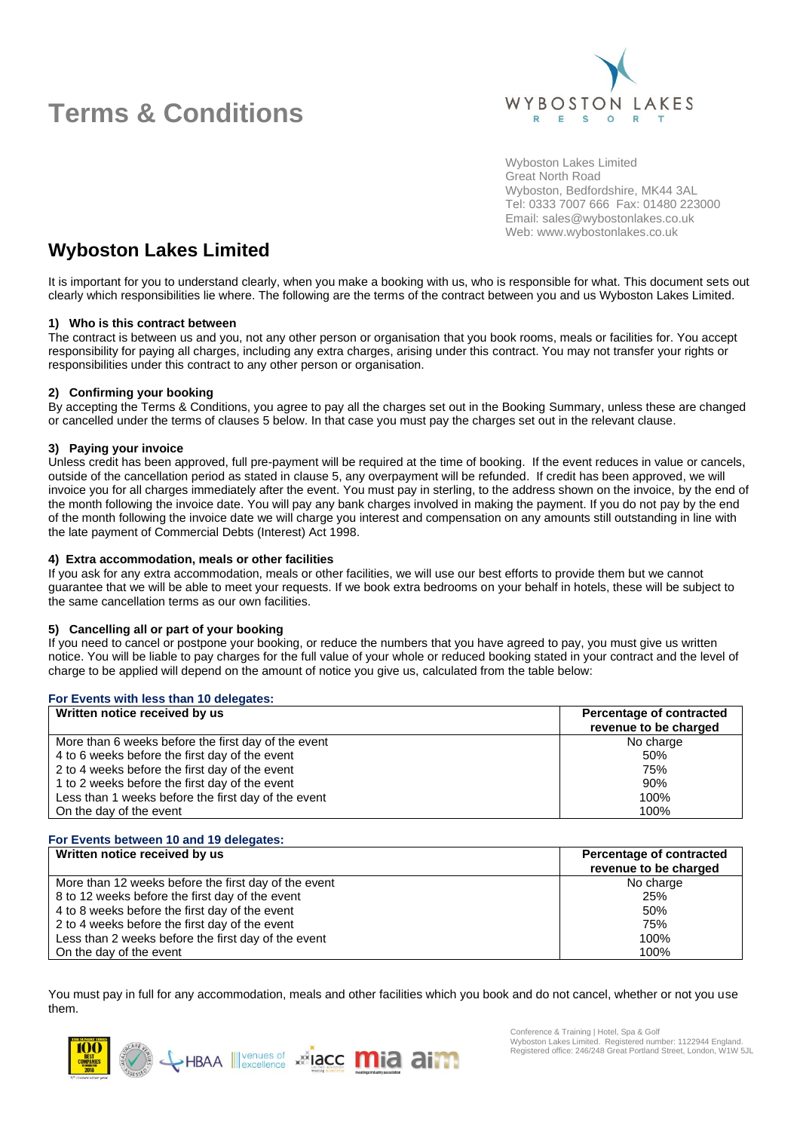

Wyboston Lakes Limited Great North Road Wyboston, Bedfordshire, MK44 3AL Tel: 0333 7007 666 Fax: 01480 223000 Email: sales@wybostonlakes.co.uk Web: www.wybostonlakes.co.uk

### **Wyboston Lakes Limited**

It is important for you to understand clearly, when you make a booking with us, who is responsible for what. This document sets out clearly which responsibilities lie where. The following are the terms of the contract between you and us Wyboston Lakes Limited.

### **1) Who is this contract between**

The contract is between us and you, not any other person or organisation that you book rooms, meals or facilities for. You accept responsibility for paying all charges, including any extra charges, arising under this contract. You may not transfer your rights or responsibilities under this contract to any other person or organisation.

### **2) Confirming your booking**

By accepting the Terms & Conditions, you agree to pay all the charges set out in the Booking Summary, unless these are changed or cancelled under the terms of clauses 5 below. In that case you must pay the charges set out in the relevant clause.

#### **3) Paying your invoice**

Unless credit has been approved, full pre-payment will be required at the time of booking. If the event reduces in value or cancels, outside of the cancellation period as stated in clause 5, any overpayment will be refunded. If credit has been approved, we will invoice you for all charges immediately after the event. You must pay in sterling, to the address shown on the invoice, by the end of the month following the invoice date. You will pay any bank charges involved in making the payment. If you do not pay by the end of the month following the invoice date we will charge you interest and compensation on any amounts still outstanding in line with the late payment of Commercial Debts (Interest) Act 1998.

#### **4) Extra accommodation, meals or other facilities**

If you ask for any extra accommodation, meals or other facilities, we will use our best efforts to provide them but we cannot guarantee that we will be able to meet your requests. If we book extra bedrooms on your behalf in hotels, these will be subject to the same cancellation terms as our own facilities.

#### **5) Cancelling all or part of your booking**

If you need to cancel or postpone your booking, or reduce the numbers that you have agreed to pay, you must give us written notice. You will be liable to pay charges for the full value of your whole or reduced booking stated in your contract and the level of charge to be applied will depend on the amount of notice you give us, calculated from the table below:

| For Events with less than 10 delegates:             |                                                   |  |
|-----------------------------------------------------|---------------------------------------------------|--|
| Written notice received by us                       | Percentage of contracted<br>revenue to be charged |  |
| More than 6 weeks before the first day of the event | No charge                                         |  |
| 4 to 6 weeks before the first day of the event      | 50%                                               |  |
| 2 to 4 weeks before the first day of the event      | 75%                                               |  |
| 1 to 2 weeks before the first day of the event      | 90%                                               |  |
| Less than 1 weeks before the first day of the event | $100\%$                                           |  |
| On the day of the event                             | 100%                                              |  |

#### **For Events between 10 and 19 delegates:**

| Written notice received by us                        | Percentage of contracted<br>revenue to be charged |
|------------------------------------------------------|---------------------------------------------------|
|                                                      |                                                   |
| More than 12 weeks before the first day of the event | No charge                                         |
| 8 to 12 weeks before the first day of the event      | 25%                                               |
| 4 to 8 weeks before the first day of the event       | 50%                                               |
| 2 to 4 weeks before the first day of the event       | 75%                                               |
| Less than 2 weeks before the first day of the event  | 100%                                              |
| On the day of the event                              | 100%                                              |

You must pay in full for any accommodation, meals and other facilities which you book and do not cancel, whether or not you use them.

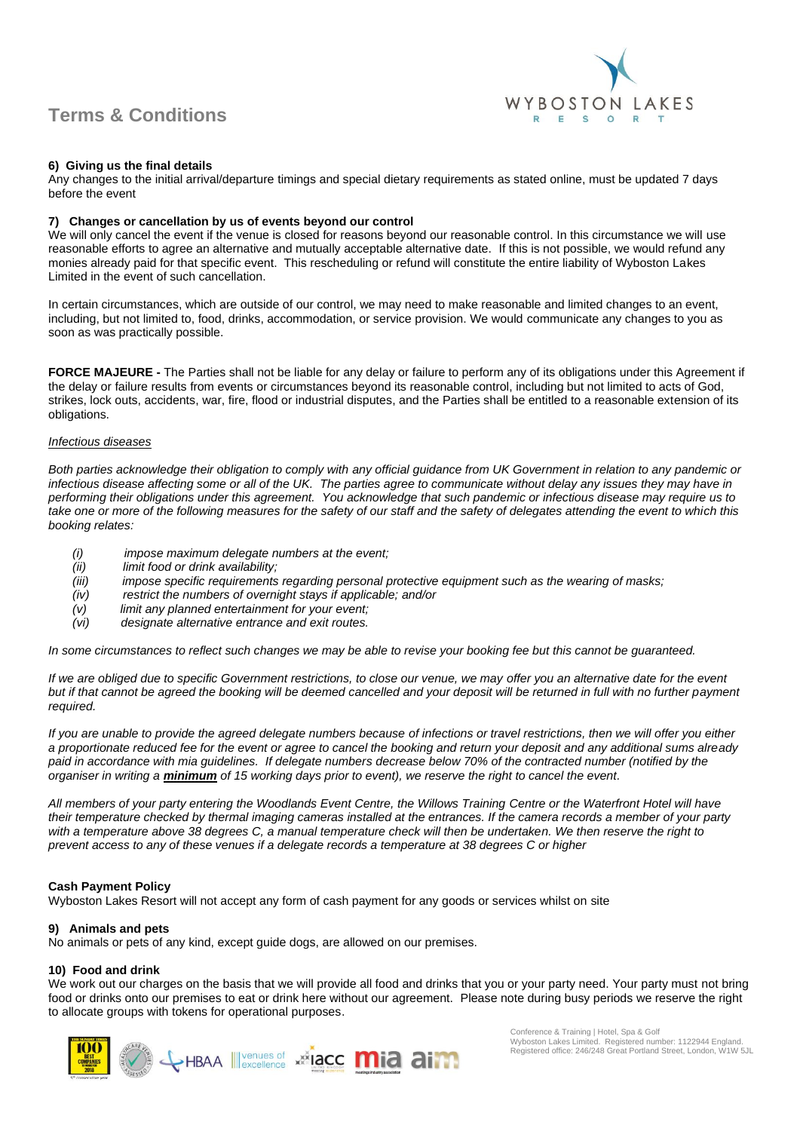

#### **6) Giving us the final details**

Any changes to the initial arrival/departure timings and special dietary requirements as stated online, must be updated 7 days before the event

#### **7) Changes or cancellation by us of events beyond our control**

We will only cancel the event if the venue is closed for reasons beyond our reasonable control. In this circumstance we will use reasonable efforts to agree an alternative and mutually acceptable alternative date. If this is not possible, we would refund any monies already paid for that specific event. This rescheduling or refund will constitute the entire liability of Wyboston Lakes Limited in the event of such cancellation.

In certain circumstances, which are outside of our control, we may need to make reasonable and limited changes to an event, including, but not limited to, food, drinks, accommodation, or service provision. We would communicate any changes to you as soon as was practically possible.

**FORCE MAJEURE -** The Parties shall not be liable for any delay or failure to perform any of its obligations under this Agreement if the delay or failure results from events or circumstances beyond its reasonable control, including but not limited to acts of God, strikes, lock outs, accidents, war, fire, flood or industrial disputes, and the Parties shall be entitled to a reasonable extension of its obligations.

#### *Infectious diseases*

*Both parties acknowledge their obligation to comply with any official guidance from UK Government in relation to any pandemic or infectious disease affecting some or all of the UK. The parties agree to communicate without delay any issues they may have in performing their obligations under this agreement. You acknowledge that such pandemic or infectious disease may require us to take one or more of the following measures for the safety of our staff and the safety of delegates attending the event to which this booking relates:*

- *(i) impose maximum delegate numbers at the event;*
- *(ii) limit food or drink availability;*
- *(iii) impose specific requirements regarding personal protective equipment such as the wearing of masks;*
- *(iv) restrict the numbers of overnight stays if applicable; and/or*
- 
- *(v) limit any planned entertainment for your event; (vi) designate alternative entrance and exit routes.*

*In some circumstances to reflect such changes we may be able to revise your booking fee but this cannot be guaranteed.*

*If we are obliged due to specific Government restrictions, to close our venue, we may offer you an alternative date for the event but if that cannot be agreed the booking will be deemed cancelled and your deposit will be returned in full with no further payment required.* 

*If you are unable to provide the agreed delegate numbers because of infections or travel restrictions, then we will offer you either a proportionate reduced fee for the event or agree to cancel the booking and return your deposit and any additional sums already paid in accordance with mia guidelines. If delegate numbers decrease below 70% of the contracted number (notified by the organiser in writing a minimum of 15 working days prior to event), we reserve the right to cancel the event.*

*All members of your party entering the Woodlands Event Centre, the Willows Training Centre or the Waterfront Hotel will have their temperature checked by thermal imaging cameras installed at the entrances. If the camera records a member of your party with a temperature above 38 degrees C, a manual temperature check will then be undertaken. We then reserve the right to prevent access to any of these venues if a delegate records a temperature at 38 degrees C or higher*

#### **Cash Payment Policy**

Wyboston Lakes Resort will not accept any form of cash payment for any goods or services whilst on site

#### **9) Animals and pets**

No animals or pets of any kind, except guide dogs, are allowed on our premises.

#### **10) Food and drink**

We work out our charges on the basis that we will provide all food and drinks that you or your party need. Your party must not bring food or drinks onto our premises to eat or drink here without our agreement. Please note during busy periods we reserve the right to allocate groups with tokens for operational purposes.

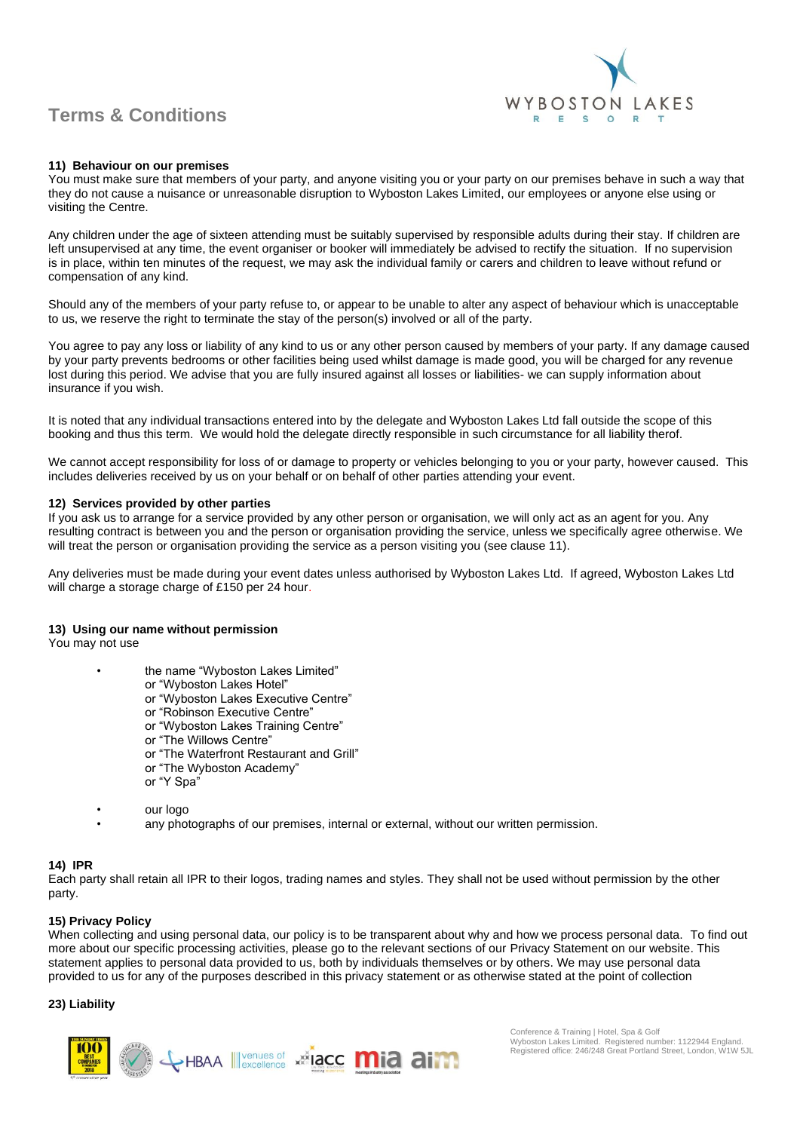

#### **11) Behaviour on our premises**

You must make sure that members of your party, and anyone visiting you or your party on our premises behave in such a way that they do not cause a nuisance or unreasonable disruption to Wyboston Lakes Limited, our employees or anyone else using or visiting the Centre.

Any children under the age of sixteen attending must be suitably supervised by responsible adults during their stay. If children are left unsupervised at any time, the event organiser or booker will immediately be advised to rectify the situation. If no supervision is in place, within ten minutes of the request, we may ask the individual family or carers and children to leave without refund or compensation of any kind.

Should any of the members of your party refuse to, or appear to be unable to alter any aspect of behaviour which is unacceptable to us, we reserve the right to terminate the stay of the person(s) involved or all of the party.

You agree to pay any loss or liability of any kind to us or any other person caused by members of your party. If any damage caused by your party prevents bedrooms or other facilities being used whilst damage is made good, you will be charged for any revenue lost during this period. We advise that you are fully insured against all losses or liabilities- we can supply information about insurance if you wish.

It is noted that any individual transactions entered into by the delegate and Wyboston Lakes Ltd fall outside the scope of this booking and thus this term. We would hold the delegate directly responsible in such circumstance for all liability therof.

We cannot accept responsibility for loss of or damage to property or vehicles belonging to you or your party, however caused. This includes deliveries received by us on your behalf or on behalf of other parties attending your event.

#### **12) Services provided by other parties**

If you ask us to arrange for a service provided by any other person or organisation, we will only act as an agent for you. Any resulting contract is between you and the person or organisation providing the service, unless we specifically agree otherwise. We will treat the person or organisation providing the service as a person visiting you (see clause 11).

Any deliveries must be made during your event dates unless authorised by Wyboston Lakes Ltd. If agreed, Wyboston Lakes Ltd will charge a storage charge of £150 per 24 hour.

#### **13) Using our name without permission**

You may not use

- the name "Wyboston Lakes Limited"
	- or "Wyboston Lakes Hotel"
	- or "Wyboston Lakes Executive Centre"
	- or "Robinson Executive Centre"
	- or "Wyboston Lakes Training Centre"
	- or "The Willows Centre"
	- or "The Waterfront Restaurant and Grill"
	- or "The Wyboston Academy"
	- or "Y Spa"
- our logo
	- any photographs of our premises, internal or external, without our written permission.

#### **14) IPR**

Each party shall retain all IPR to their logos, trading names and styles. They shall not be used without permission by the other party.

#### **15) Privacy Policy**

When collecting and using personal data, our policy is to be transparent about why and how we process personal data. To find out more about our specific processing activities, please go to the relevant sections of our [Privacy Statement](https://www.wybostonlakes.co.uk/privacy-cookies.aspx) on our website. This statement applies to personal data provided to us, both by individuals themselves or by others. We may use personal data provided to us for any of the purposes described in this privacy statement or as otherwise stated at the point of collection

#### **23) Liability**